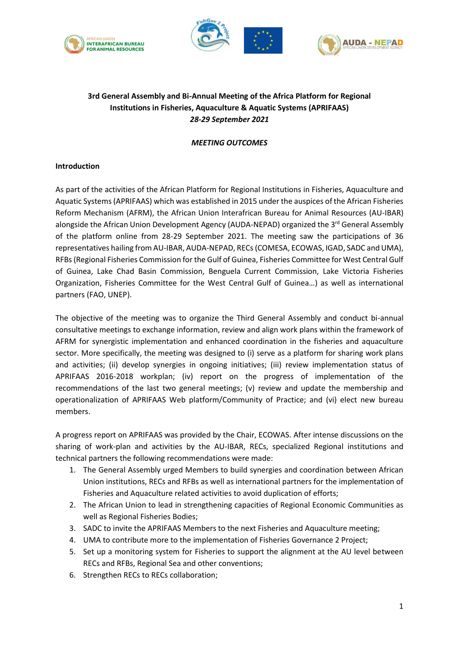





## **3rd General Assembly and Bi-Annual Meeting of the Africa Platform for Regional Institutions in Fisheries, Aquaculture & Aquatic Systems (APRIFAAS)** *28-29 September 2021*

## *MEETING OUTCOMES*

## **Introduction**

As part of the activities of the African Platform for Regional Institutions in Fisheries, Aquaculture and Aquatic Systems (APRIFAAS) which was established in 2015 under the auspices of the African Fisheries Reform Mechanism (AFRM), the African Union Interafrican Bureau for Animal Resources (AU-IBAR) alongside the African Union Development Agency (AUDA-NEPAD) organized the 3<sup>rd</sup> General Assembly of the platform online from 28-29 September 2021. The meeting saw the participations of 36 representatives hailing from AU-IBAR, AUDA-NEPAD, RECs (COMESA, ECOWAS, IGAD, SADC and UMA), RFBs(Regional Fisheries Commission for the Gulf of Guinea, Fisheries Committee for West Central Gulf of Guinea, Lake Chad Basin Commission, Benguela Current Commission, Lake Victoria Fisheries Organization, Fisheries Committee for the West Central Gulf of Guinea…) as well as international partners (FAO, UNEP).

The objective of the meeting was to organize the Third General Assembly and conduct bi-annual consultative meetings to exchange information, review and align work plans within the framework of AFRM for synergistic implementation and enhanced coordination in the fisheries and aquaculture sector. More specifically, the meeting was designed to (i) serve as a platform for sharing work plans and activities; (ii) develop synergies in ongoing initiatives; (iii) review implementation status of APRIFAAS 2016-2018 workplan; (iv) report on the progress of implementation of the recommendations of the last two general meetings; (v) review and update the membership and operationalization of APRIFAAS Web platform/Community of Practice; and (vi) elect new bureau members.

A progress report on APRIFAAS was provided by the Chair, ECOWAS. After intense discussions on the sharing of work-plan and activities by the AU-IBAR, RECs, specialized Regional institutions and technical partners the following recommendations were made:

- 1. The General Assembly urged Members to build synergies and coordination between African Union institutions, RECs and RFBs as well as international partners for the implementation of Fisheries and Aquaculture related activities to avoid duplication of efforts;
- 2. The African Union to lead in strengthening capacities of Regional Economic Communities as well as Regional Fisheries Bodies;
- 3. SADC to invite the APRIFAAS Members to the next Fisheries and Aquaculture meeting;
- 4. UMA to contribute more to the implementation of Fisheries Governance 2 Project;
- 5. Set up a monitoring system for Fisheries to support the alignment at the AU level between RECs and RFBs, Regional Sea and other conventions;
- 6. Strengthen RECs to RECs collaboration;